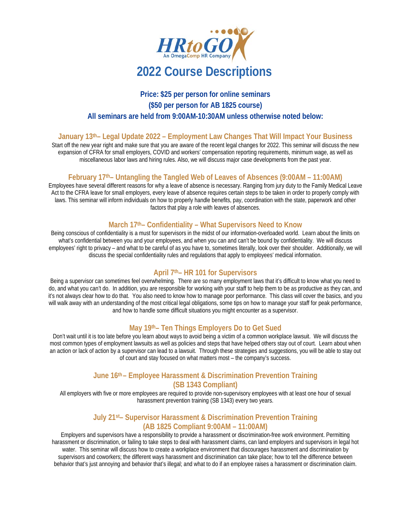

# **Price: \$25 per person for online seminars (\$50 per person for AB 1825 course) All seminars are held from 9:00AM-10:30AM unless otherwise noted below:**

#### **January 13th– Legal Update 2022 – Employment Law Changes That Will Impact Your Business**

Start off the new year right and make sure that you are aware of the recent legal changes for 2022. This seminar will discuss the new expansion of CFRA for small employers, COVID and workers' compensation reporting requirements, minimum wage, as well as miscellaneous labor laws and hiring rules. Also, we will discuss major case developments from the past year.

#### **February 17th– Untangling the Tangled Web of Leaves of Absences (9:00AM – 11:00AM)**

Employees have several different reasons for why a leave of absence is necessary. Ranging from jury duty to the Family Medical Leave Act to the CFRA leave for small employers, every leave of absence requires certain steps to be taken in order to properly comply with laws. This seminar will inform individuals on how to properly handle benefits, pay, coordination with the state, paperwork and other factors that play a role with leaves of absences.

## **March 17th– Confidentiality – What Supervisors Need to Know**

Being conscious of confidentiality is a must for supervisors in the midst of our information-overloaded world. Learn about the limits on what's confidential between you and your employees, and when you can and can't be bound by confidentiality. We will discuss employees' right to privacy – and what to be careful of as you have to, sometimes literally, look over their shoulder. Additionally, we will discuss the special confidentiality rules and regulations that apply to employees' medical information.

#### **April 7th– HR 101 for Supervisors**

Being a supervisor can sometimes feel overwhelming. There are so many employment laws that it's difficult to know what you need to do, and what you can't do. In addition, you are responsible for working with your staff to help them to be as productive as they can, and it's not always clear how to do that. You also need to know how to manage poor performance. This class will cover the basics, and you will walk away with an understanding of the most critical legal obligations, some tips on how to manage your staff for peak performance, and how to handle some difficult situations you might encounter as a supervisor.

# **May 19th– Ten Things Employers Do to Get Sued**

Don't wait until it is too late before you learn about ways to avoid being a victim of a common workplace lawsuit. We will discuss the most common types of employment lawsuits as well as policies and steps that have helped others stay out of court. Learn about when an action or lack of action by a supervisor can lead to a lawsuit. Through these strategies and suggestions, you will be able to stay out of court and stay focused on what matters most – the company's success.

#### **June 16th – Employee Harassment & Discrimination Prevention Training (SB 1343 Compliant)**

All employers with five or more employees are required to provide non-supervisory employees with at least one hour of sexual harassment prevention training (SB 1343) every two years.

#### **July 21st– Supervisor Harassment & Discrimination Prevention Training (AB 1825 Compliant 9:00AM – 11:00AM)**

Employers and supervisors have a responsibility to provide a harassment or discrimination-free work environment. Permitting harassment or discrimination, or failing to take steps to deal with harassment claims, can land employers and supervisors in legal hot water. This seminar will discuss how to create a workplace environment that discourages harassment and discrimination by supervisors and coworkers; the different ways harassment and discrimination can take place; how to tell the difference between behavior that's just annoying and behavior that's illegal; and what to do if an employee raises a harassment or discrimination claim.